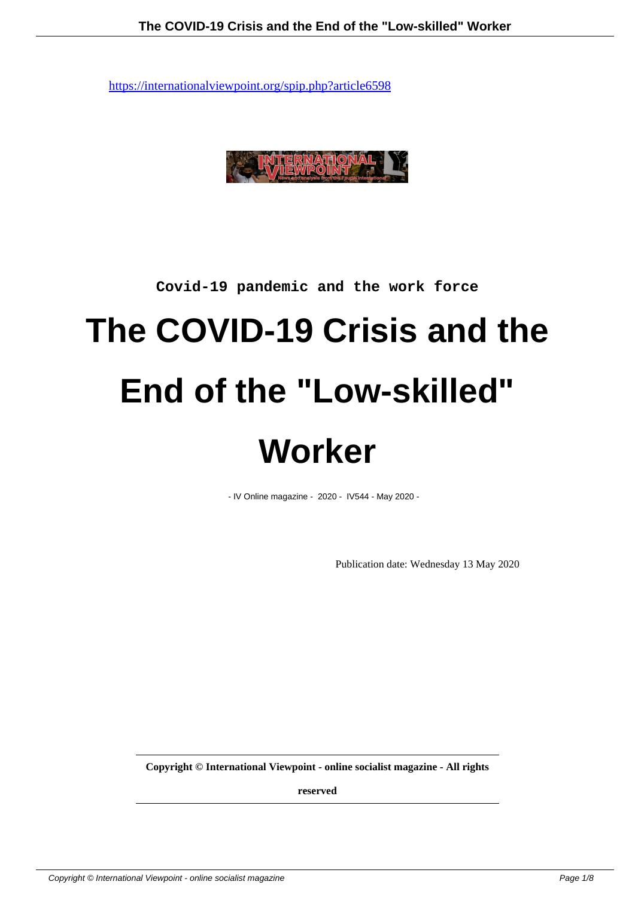

# **Covid-19 pandemic and the work force**

# **The COVID-19 Crisis and the End of the "Low-skilled" Worker**

- IV Online magazine - 2020 - IV544 - May 2020 -

Publication date: Wednesday 13 May 2020

**Copyright © International Viewpoint - online socialist magazine - All rights**

**reserved**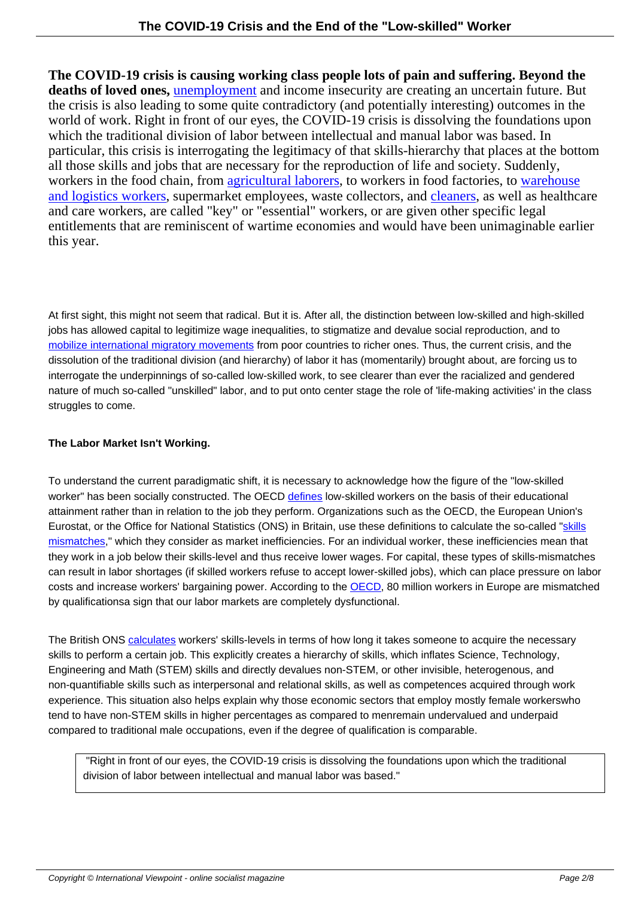**The COVID-19 crisis is causing working class people lots of pain and suffering. Beyond the deaths of loved ones,** unemployment and income insecurity are creating an uncertain future. But the crisis is also leading to some quite contradictory (and potentially interesting) outcomes in the world of work. Right in front of our eyes, the COVID-19 crisis is dissolving the foundations upon which the traditional division of labor between intellectual and manual labor was based. In particular, this crisis i[s interrogating th](https://www.theguardian.com/business/2020/apr/30/us-unemployment-americans-jobless-coronavirus-pandemic)e legitimacy of that skills-hierarchy that places at the bottom all those skills and jobs that are necessary for the reproduction of life and society. Suddenly, workers in the food chain, from agricultural laborers, to workers in food factories, to warehouse and logistics workers, supermarket employees, waste collectors, and cleaners, as well as healthcare and care workers, are called "key" or "essential" workers, or are given other specific legal entitlements that are reminiscen[t of wartime econom](https://www.theguardian.com/global-development/2020/may/01/no-food-water-masks-or-gloves-migrant-farm-workers-in-spain-at-crisis-point)ies and would have been unima[ginable earli](https://www.washingtonpost.com/outlook/2020/04/25/warehouse-workers-are-essential-its-time-we-treated-them-that-way/)er [this year.](https://www.washingtonpost.com/outlook/2020/04/25/warehouse-workers-are-essential-its-time-we-treated-them-that-way/)

At first sight, this might not seem that radical. But it is. After all, the distinction between low-skilled and high-skilled jobs has allowed capital to legitimize wage inequalities, to stigmatize and devalue social reproduction, and to mobilize international migratory movements from poor countries to richer ones. Thus, the current crisis, and the dissolution of the traditional division (and hierarchy) of labor it has (momentarily) brought about, are forcing us to interrogate the underpinnings of so-called low-skilled work, to see clearer than ever the racialized and gendered [nature of much so-called "unskilled" labor, a](http://burawoy.berkeley.edu/Southern%20Africa/Migrant%20Labor.pdf)nd to put onto center stage the role of 'life-making activities' in the class struggles to come.

# **The Labor Market Isn't Working.**

To understand the current paradigmatic shift, it is necessary to acknowledge how the figure of the "low-skilled worker" has been socially constructed. The OECD defines low-skilled workers on the basis of their educational attainment rather than in relation to the job they perform. Organizations such as the OECD, the European Union's Eurostat, or the Office for National Statistics (ONS) in Britain, use these definitions to calculate the so-called "skills" mismatches," which they consider as market inefficiencies. For an individual worker, these inefficiencies mean that they work in a job below their skills-level and thus r[eceive l](https://www.oecd-ilibrary.org/docserver/14dfd584-en.pdf?expires=1588435459&id=id&accname=guest&checksum=BD880E5DA6CDF98F12A8679E1A338F7A)ower wages. For capital, these types of skills-mismatches can result in labor shortages (if skilled workers refuse to accept lower-skilled jobs), which can place pressure on labor costs and increase workers' bargaining power. According to the OECD, 80 million workers in Europe are mis[match](https://www.eesc.europa.eu/en/our-work/publications-other-work/publications/skills-mismatches-impediment-competitiveness-eu-businesses)ed [by qualificati](https://www.eesc.europa.eu/en/our-work/publications-other-work/publications/skills-mismatches-impediment-competitiveness-eu-businesses)ons a sign that our labor markets are completely dysfunctional.

The British ONS calculates workers' skills-levels in terms of ho[w long it](https://www.compas.ox.ac.uk/2016/free-movement-of-overqualified-migrant-workers/) takes someone to acquire the necessary skills to perform a certain job. This explicitly creates a hierarchy of skills, which inflates Science, Technology, Engineering and Math (STEM) skills and directly devalues non-STEM, or other invisible, heterogenous, and non-quantifiable skills such as interpersonal and relational skills, as well as competences acquired through work experience. This [situation a](https://onsdigital.github.io/dp-classification-tools/standard-occupational-classification/ONS_SOC_hierarchy_view.html)lso helps explain why those economic sectors that employ mostly female workers who tend to have non-STEM skills in higher percentages as compared to men remain undervalued and underpaid compared to traditional male occupations, even if the degree of qualification is comparable.

 "Right in front of our eyes, the COVID-19 crisis is dissolving the foundations upon which the traditional division of labor between intellectual and manual labor was based."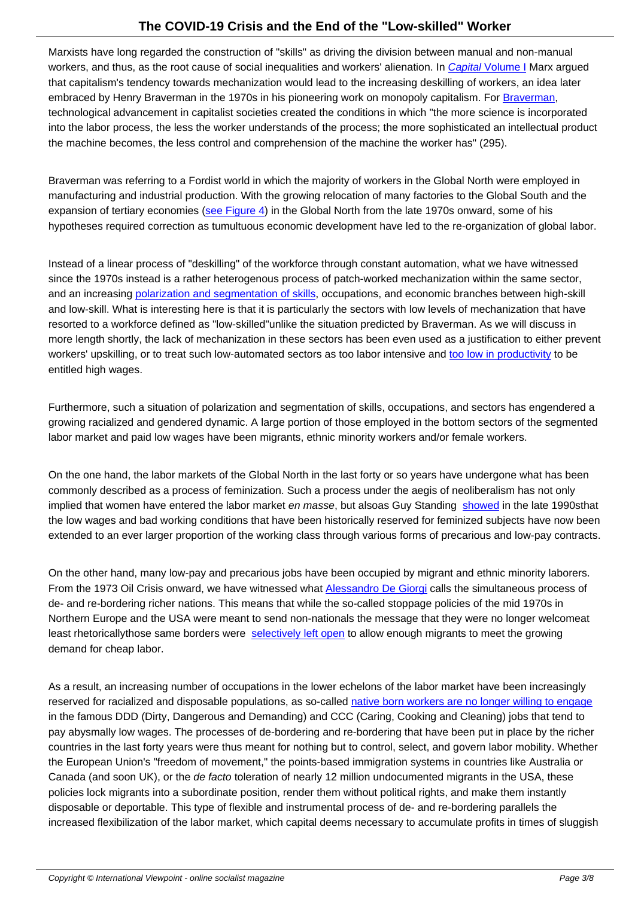Marxists have long regarded the construction of "skills" as driving the division between manual and non-manual workers, and thus, as the root cause of social inequalities and workers' alienation. In Capital Volume I Marx argued that capitalism's tendency towards mechanization would lead to the increasing deskilling of workers, an idea later embraced by Henry Braverman in the 1970s in his pioneering work on monopoly capitalism. For Braverman, technological advancement in capitalist societies created the conditions in which "the more science is incorporated into the labor process, the less the worker understands of the process; the more sop[histicated an intel](https://www.marxists.org/archive/marx/works/1867-c1/ch15.htm#S1)lectual product the machine becomes, the less control and comprehension of the machine the worker has" (295[\).](https://www.jstor.org/stable/j.ctt9qfrkf)

Braverman was referring to a Fordist world in which the majority of workers in the Global North were employed in manufacturing and industrial production. With the growing relocation of many factories to the Global South and the expansion of tertiary economies (see Figure 4) in the Global North from the late 1970s onward, some of his hypotheses required correction as tumultuous economic development have led to the re-organization of global labor.

Instead of a linear process of "de[skilling" of the](https://www.ons.gov.uk/economy/economicoutputandproductivity/output/articles/changesintheeconomysincethe1970s/2019-09-02) workforce through constant automation, what we have witnessed since the 1970s instead is a rather heterogenous process of patch-worked mechanization within the same sector, and an increasing polarization and segmentation of skills, occupations, and economic branches between high-skill and low-skill. What is interesting here is that it is particularly the sectors with low levels of mechanization that have resorted to a workforce defined as "low-skilled" unlike the situation predicted by Braverman. As we will discuss in more length shortl[y, the lack of mechanization in these se](https://advances.sciencemag.org/content/4/7/eaao6030)ctors has been even used as a justification to either prevent workers' upskilling, or to treat such low-automated sectors as too labor intensive and too low in productivity to be entitled high wages.

Furthermore, such a situation of polarization and segmentation of skills, occupations, [and sectors has enge](https://www.ft.com/content/0580bc3e-cb1a-11e8-9fe5-24ad351828ab)ndered a growing racialized and gendered dynamic. A large portion of those employed in the bottom sectors of the segmented labor market and paid low wages have been migrants, ethnic minority workers and/or female workers.

On the one hand, the labor markets of the Global North in the last forty or so years have undergone what has been commonly described as a process of feminization. Such a process under the aegis of neoliberalism has not only implied that women have entered the labor market en masse, but also as Guy Standing showed in the late 1990s that the low wages and bad working conditions that have been historically reserved for feminized subjects have now been extended to an ever larger proportion of the working class through various forms of precarious and low-pay contracts.

On the other hand, many low-pay and precarious jobs have been occupied by migrant and ethnic minority laborers. From the 1973 Oil Crisis onward, we have witnessed what Alessandro De Giorgi calls the simultaneous process of de- and re-bordering richer nations. This means that while the so-called stoppage policies of the mid 1970s in Northern Europe and the USA were meant to send non-nationals the message that they were no longer welcome at least rhetorically those same borders were selectively left [open to allow enough m](https://journals.sagepub.com/doi/10.1177/1462474509357378)igrants to meet the growing demand for cheap labor.

As a result, an increasing number of occup[ations in the lower e](https://www.plutobooks.com/9780745327785/escape-routes/)chelons of the labor market have been increasingly reserved for racialized and disposable populations, as so-called native born workers are no longer willing to engage in the famous DDD (Dirty, Dangerous and Demanding) and CCC (Caring, Cooking and Cleaning) jobs that tend to pay abysmally low wages. The processes of de-bordering and re-bordering that have been put in place by the richer countries in the last forty years were thus meant for nothing but to control, select, and govern labor mobility. Whether the European Union's "freedom of movement," the points-based [immigration systems in countries like Australia or](https://journals.sagepub.com/doi/10.1177/0969776409104692) Canada (and soon UK), or the de facto toleration of nearly 12 million undocumented migrants in the USA, these policies lock migrants into a subordinate position, render them without political rights, and make them instantly disposable or deportable. This type of flexible and instrumental process of de- and re-bordering parallels the increased flexibilization of the labor market, which capital deems necessary to accumulate profits in times of sluggish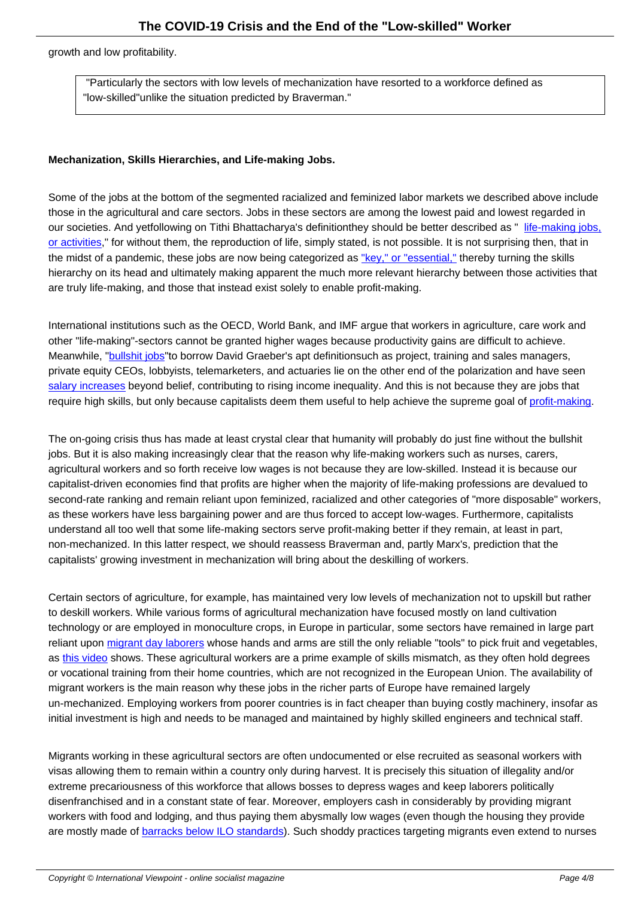growth and low profitability.

 "Particularly the sectors with low levels of mechanization have resorted to a workforce defined as "low-skilled" unlike the situation predicted by Braverman."

#### **Mechanization, Skills Hierarchies, and Life-making Jobs.**

Some of the jobs at the bottom of the segmented racialized and feminized labor markets we described above include those in the agricultural and care sectors. Jobs in these sectors are among the lowest paid and lowest regarded in our societies. And yet following on Tithi Bhattacharya's definition they should be better described as "life-making jobs, or activities," for without them, the reproduction of life, simply stated, is not possible. It is not surprising then, that in the midst of a pandemic, these jobs are now being categorized as "key," or "essential," thereby turning the skills hierarchy on its head and ultimately making apparent the much more relevant hierarchy between tho[se activities that](https://www.plutobooks.com/blog/deepening-our-understanding-of-social-reproduction-theory/) [are truly life](https://www.plutobooks.com/blog/deepening-our-understanding-of-social-reproduction-theory/)-making, and those that instead exist solely to enable profit-making.

International institutions such as the OECD, World Bank, and IMF argue that workers in agriculture, care work and other "life-making"-sectors cannot be granted higher wages because productivity gains are difficult to achieve. Meanwhile, "**bullshit jobs**" to borrow David Graeber's apt definition such as project, training and sales managers, private equity CEOs, lobbyists, telemarketers, and actuaries lie on the other end of the polarization and have seen salary increases beyond belief, contributing to rising income inequality. And this is not because they are jobs that require high [skills, but on](https://www.strike.coop/bullshit-jobs/)ly because capitalists deem them useful to help achieve the supreme goal of profit-making.

[The on-going cris](https://www.eurofound.europa.eu/publications/article/2005/gap-between-blue-collar-and-white-collar-pay-increases)is thus has made at least crystal clear that humanity will probably do just fine without the bullshit jobs. But it is also making increasingly clear that the reason why life-making workers such as nurses, [carers,](https://www.haymarketbooks.org/books/1200-persistent-inequalities) agricultural workers and so forth receive low wages is not because they are low-skilled. Instead it is because our capitalist-driven economies find that profits are higher when the majority of life-making professions are devalued to second-rate ranking and remain reliant upon feminized, racialized and other categories of "more disposable" workers, as these workers have less bargaining power and are thus forced to accept low-wages. Furthermore, capitalists understand all too well that some life-making sectors serve profit-making better if they remain, at least in part, non-mechanized. In this latter respect, we should reassess Braverman and, partly Marx's, prediction that the capitalists' growing investment in mechanization will bring about the deskilling of workers.

Certain sectors of agriculture, for example, has maintained very low levels of mechanization not to upskill but rather to deskill workers. While various forms of agricultural mechanization have focused mostly on land cultivation technology or are employed in monoculture crops, in Europe in particular, some sectors have remained in large part reliant upon migrant day laborers whose hands and arms are still the only reliable "tools" to pick fruit and vegetables, as this video shows. These agricultural workers are a prime example of skills mismatch, as they often hold degrees or vocational training from their home countries, which are not recognized in the European Union. The availability of migrant workers is the main reason why these jobs in the richer parts of Europe have remained largely un-mechani[zed. Employing worke](https://www.politico.eu/article/italy-seasonal-migrant-farm-workers-coronavirus-covid-19/)rs from poorer countries is in fact cheaper than buying costly machinery, insofar as init[ial investm](https://twitter.com/UFWupdates/status/1038809098450436096)ent is high and needs to be managed and maintained by highly skilled engineers and technical staff.

Migrants working in these agricultural sectors are often undocumented or else recruited as seasonal workers with visas allowing them to remain within a country only during harvest. It is precisely this situation of illegality and/or extreme precariousness of this workforce that allows bosses to depress wages and keep laborers politically disenfranchised and in a constant state of fear. Moreover, employers cash in considerably by providing migrant workers with food and lodging, and thus paying them abysmally low wages (even though the housing they provide are mostly made of barracks below ILO standards). Such shoddy practices targeting migrants even extend to nurses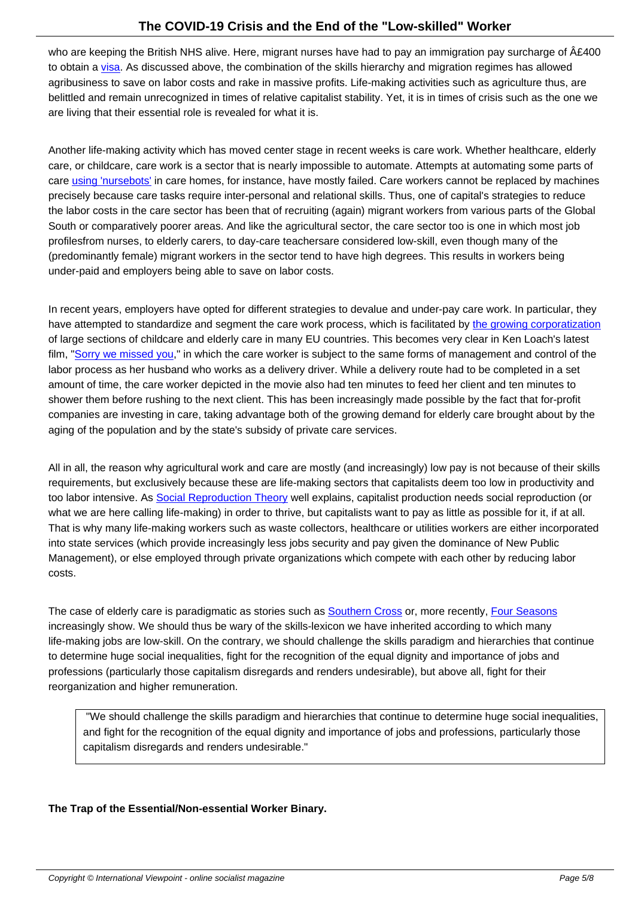who are keeping the British NHS alive. Here, migrant nurses have had to pay an immigration pay surcharge of £400 to obtain a visa. As discussed above, the combination of the skills hierarchy and migration regimes has allowed agribusiness to save on labor costs and rake in massive profits. Life-making activities such as agriculture thus, are belittled and remain unrecognized in times of relative capitalist stability. Yet, it is in times of crisis such as the one we are living t[hat th](https://www.aljazeera.com/indepth/opinion/uk-tax-foreign-nurses-scrapped-200325074532641.htm)eir essential role is revealed for what it is.

Another life-making activity which has moved center stage in recent weeks is care work. Whether healthcare, elderly care, or childcare, care work is a sector that is nearly impossible to automate. Attempts at automating some parts of care using 'nursebots' in care homes, for instance, have mostly failed. Care workers cannot be replaced by machines precisely because care tasks require inter-personal and relational skills. Thus, one of capital's strategies to reduce the labor costs in the care sector has been that of recruiting (again) migrant workers from various parts of the Global South or comparatively poorer areas. And like the agricultural sector, the care sector too is one in which most job profiles from nurses, to elderly carers, to day-care teachers are considered low-skill, even though many of the (predominantly female) migrant workers in the sector tend to have high degrees. This results in workers being under-paid and employers being able to save on labor costs.

In recent years, employers have opted for different strategies to devalue and under-pay care work. In particular, they have attempted to standardize and segment the care work process, which is facilitated by the growing corporatization of large sections of childcare and elderly care in many EU countries. This becomes very clear in Ken Loach's latest film, "Sorry we missed you," in which the care worker is subject to the same forms of management and control of the labor process as her husband who works as a delivery driver. While a delivery route had to be completed in a set amount of time, the care worker depicted in the movie also had ten minutes to feed her cli[ent and ten minutes to](https://academic.oup.com/sp/article-abstract/24/2/109/3884456?redirectedFrom=fulltext) shower them before rushing to the next client. This has been increasingly made possible by the fact that for-profit comp[anies are investing in](https://www.vox.com/2020/4/29/21241161/sorry-we-missed-you-review-amazon-gig-economy) care, taking advantage both of the growing demand for elderly care brought about by the aging of the population and by the state's subsidy of private care services.

All in all, the reason why agricultural work and care are mostly (and increasingly) low pay is not because of their skills requirements, but exclusively because these are life-making sectors that capitalists deem too low in productivity and too labor intensive. As Social Reproduction Theory well explains, capitalist production needs social reproduction (or what we are here calling life-making) in order to thrive, but capitalists want to pay as little as possible for it, if at all. That is why many life-making workers such as waste collectors, healthcare or utilities workers are either incorporated into state services (which provide increasingly less jobs security and pay given the dominance of New Public Management), or else [employed through private org](https://www.plutobooks.com/9780745399881/social-reproduction-theory/)anizations which compete with each other by reducing labor costs.

The case of elderly care is paradigmatic as stories such as **Southern Cross** or, more recently, Four Seasons increasingly show. We should thus be wary of the skills-lexicon we have inherited according to which many life-making jobs are low-skill. On the contrary, we should challenge the skills paradigm and hierarchies that continue to determine huge social inequalities, fight for the recognition of the equal dignity and importance of jobs and professions (particularly those capitalism disregards and re[nders undesirab](https://www.theguardian.com/business/2011/jun/01/rise-and-fall-of-southern-cross)le), but above all, f[ight for their](https://www.theguardian.com/society/2019/apr/30/four-seasons-care-home-operator-on-brink-of-administration) reorganization and higher remuneration.

 "We should challenge the skills paradigm and hierarchies that continue to determine huge social inequalities, and fight for the recognition of the equal dignity and importance of jobs and professions, particularly those capitalism disregards and renders undesirable."

# **The Trap of the Essential/Non-essential Worker Binary.**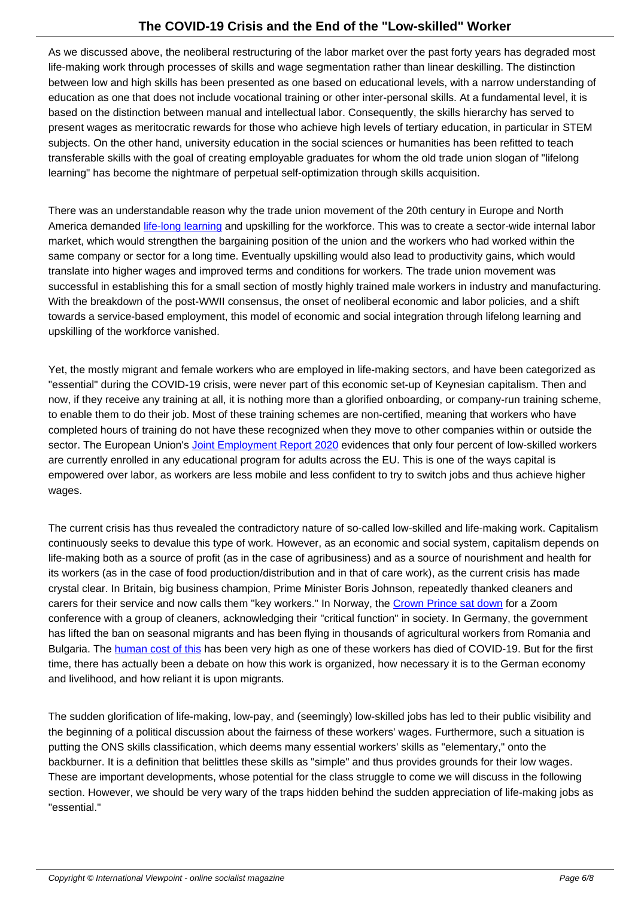As we discussed above, the neoliberal restructuring of the labor market over the past forty years has degraded most life-making work through processes of skills and wage segmentation rather than linear deskilling. The distinction between low and high skills has been presented as one based on educational levels, with a narrow understanding of education as one that does not include vocational training or other inter-personal skills. At a fundamental level, it is based on the distinction between manual and intellectual labor. Consequently, the skills hierarchy has served to present wages as meritocratic rewards for those who achieve high levels of tertiary education, in particular in STEM subjects. On the other hand, university education in the social sciences or humanities has been refitted to teach transferable skills with the goal of creating employable graduates for whom the old trade union slogan of "lifelong learning" has become the nightmare of perpetual self-optimization through skills acquisition.

There was an understandable reason why the trade union movement of the 20th century in Europe and North America demanded life-long learning and upskilling for the workforce. This was to create a sector-wide internal labor market, which would strengthen the bargaining position of the union and the workers who had worked within the same company or sector for a long time. Eventually upskilling would also lead to productivity gains, which would translate into higher wages and improved terms and conditions for workers. The trade union movement was successful in establi[shing this for a sm](https://www.etui.org/Publications2/Guides/The-EU-Lifelong-Learning-programme-a-handbook-for-trade-unions-4th-edition)all section of mostly highly trained male workers in industry and manufacturing. With the breakdown of the post-WWII consensus, the onset of neoliberal economic and labor policies, and a shift towards a service-based employment, this model of economic and social integration through lifelong learning and upskilling of the workforce vanished.

Yet, the mostly migrant and female workers who are employed in life-making sectors, and have been categorized as "essential" during the COVID-19 crisis, were never part of this economic set-up of Keynesian capitalism. Then and now, if they receive any training at all, it is nothing more than a glorified onboarding, or company-run training scheme, to enable them to do their job. Most of these training schemes are non-certified, meaning that workers who have completed hours of training do not have these recognized when they move to other companies within or outside the sector. The European Union's Joint Employment Report 2020 evidences that only four percent of low-skilled workers are currently enrolled in any educational program for adults across the EU. This is one of the ways capital is empowered over labor, as workers are less mobile and less confident to try to switch jobs and thus achieve higher wages.

The current crisis has thus revealed the contradictory nature of so-called low-skilled and life-making work. Capitalism continuously seeks to devalue this type of work. However, as an economic and social system, capitalism depends on life-making both as a source of profit (as in the case of agribusiness) and as a source of nourishment and health for its workers (as in the case of food production/distribution and in that of care work), as the current crisis has made crystal clear. In Britain, big business champion, Prime Minister Boris Johnson, repeatedly thanked cleaners and carers for their service and now calls them "key workers." In Norway, the Crown Prince sat down for a Zoom conference with a group of cleaners, acknowledging their "critical function" in society. In Germany, the government has lifted the ban on seasonal migrants and has been flying in thousands of agricultural workers from Romania and Bulgaria. The human cost of this has been very high as one of these workers has died of COVID-19. But for the first time, there has actually been a debate on how this work is organized, ho[w necessary it is to the G](https://royalcentral.co.uk/europe/norway/crown-prince-haakon-continues-to-stay-busy-while-hosting-video-conference-with-three-cleaning-workers-139967/)erman economy and livelihood, and how reliant it is upon migrants.

The sudden glorification of life-making, low-pay, and (seemingly) low-skilled jobs has led to their public visibility and the beginning of a political discussion about the fairness of these workers' wages. Furthermore, such a situation is putting the ONS skills classification, which deems many essential workers' skills as "elementary," onto the backburner. It is a definition that belittles these skills as "simple" and thus provides grounds for their low wages. These are important developments, whose potential for the class struggle to come we will discuss in the following section. However, we should be very wary of the traps hidden behind the sudden appreciation of life-making jobs as "essential."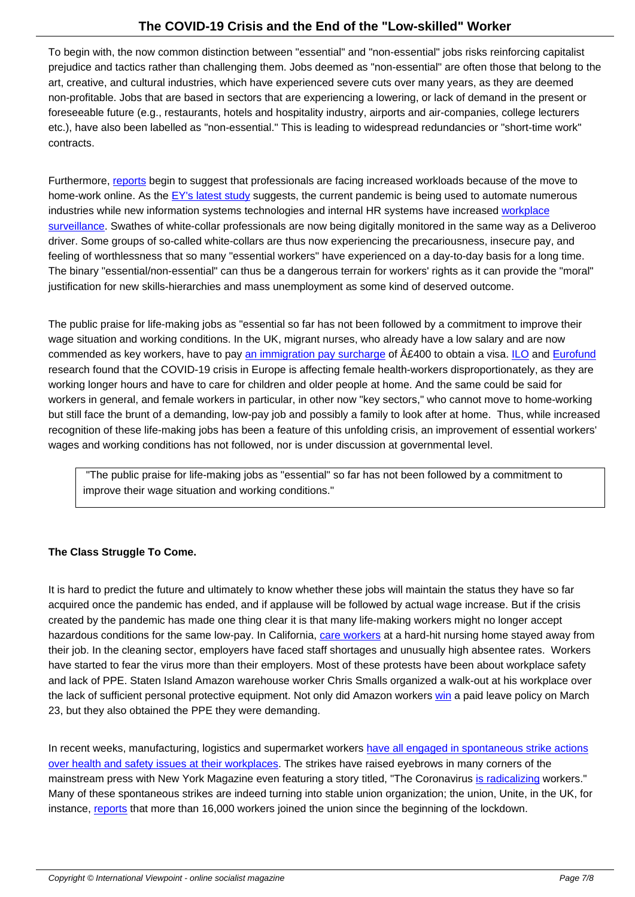To begin with, the now common distinction between "essential" and "non-essential" jobs risks reinforcing capitalist prejudice and tactics rather than challenging them. Jobs deemed as "non-essential" are often those that belong to the art, creative, and cultural industries, which have experienced severe cuts over many years, as they are deemed non-profitable. Jobs that are based in sectors that are experiencing a lowering, or lack of demand in the present or foreseeable future (e.g., restaurants, hotels and hospitality industry, airports and air-companies, college lecturers etc.), have also been labelled as "non-essential." This is leading to widespread redundancies or "short-time work" contracts.

Furthermore, reports begin to suggest that professionals are facing increased workloads because of the move to home-work online. As the EY's latest study suggests, the current pandemic is being used to automate numerous industries while new information systems technologies and internal HR systems have increased workplace surveillance. Swathes of white-collar professionals are now being digitally monitored in the same way as a Deliveroo driver. Some [groups](https://www.bbc.com/worklife/article/20200330-covid-19-how-to-learn-a-new-skill-in-coronavirus-quarantine) of so-called white-collars are thus now experiencing the precariousness, insecure pay, and feeling of worthlessness t[hat so many "esse](https://www.theguardian.com/world/2020/mar/30/bosses-speed-up-automation-as-virus-keeps-workers-home?CMP=share_btn_tw)ntial workers" have experienced on a day-to-day basis for a long time. The binary "essential/non-essential" can thus be a dangerous terrain for workers' rights as it can [provide th](https://www.washingtonpost.com/technology/2020/04/30/work-from-home-surveillance/)e "moral" [justification f](https://www.washingtonpost.com/technology/2020/04/30/work-from-home-surveillance/)or new skills-hierarchies and mass unemployment as some kind of deserved outcome.

The public praise for life-making jobs as "essential so far has not been followed by a commitment to improve their wage situation and working conditions. In the UK, migrant nurses, who already have a low salary and are now commended as key workers, have to pay an immigration pay surcharge of  $A\&400$  to obtain a visa. ILO and Eurofund research found that the COVID-19 crisis in Europe is affecting female health-workers disproportionately, as they are working longer hours and have to care for children and older people at home. And the same could be said for workers in general, and female workers in particular, in other now "key sectors," who cannot move to home-working but still face the brunt of a demanding, lo[w-pay job and possibly a family](https://www.aljazeera.com/indepth/opinion/uk-tax-foreign-nurses-scrapped-200325074532641.html) to look after at home. Th[us, w](https://www.ilo.org/global/about-the-ilo/newsroom/news/WCMS_741060/lang--en/index.htm?shared_from=shr-tls)hile [increased](https://www.eurofound.europa.eu/publications/blog/covid-19-intensifies-emotional-demands-on-healthcare-workers?&utm_campaign=covid-19&utm_content=ef20054&utm_source=twitter&utm_medium=social-network) recognition of these life-making jobs has been a feature of this unfolding crisis, an improvement of essential workers' wages and working conditions has not followed, nor is under discussion at governmental level.

 "The public praise for life-making jobs as "essential" so far has not been followed by a commitment to improve their wage situation and working conditions."

# **The Class Struggle To Come.**

It is hard to predict the future and ultimately to know whether these jobs will maintain the status they have so far acquired once the pandemic has ended, and if applause will be followed by actual wage increase. But if the crisis created by the pandemic has made one thing clear it is that many life-making workers might no longer accept hazardous conditions for the same low-pay. In California, care workers at a hard-hit nursing home stayed away from their job. In the cleaning sector, employers have faced staff shortages and unusually high absentee rates. Workers have started to fear the virus more than their employers. Most of these protests have been about workplace safety and lack of PPE. Staten Island Amazon warehouse worker Chris Smalls organized a walk-out at his workplace over the lack of sufficient personal protective equipment. Not o[nly did Amazo](https://edition.cnn.com/2020/04/08/us/california-nursing-home-evacuated/index.html)n workers win a paid leave policy on March 23, but they also obtained the PPE they were demanding.

In recent weeks, manufacturing, logistics and supermarket workers have all enga[ged i](https://www.rollingstone.com/politics/politics-news/coronavirus-amazon-worker-treatment-jay-carney-977742/)n spontaneous strike actions over health and safety issues at their workplaces. The strikes have raised eyebrows in many corners of the mainstream press with New York Magazine even featuring a story titled, "The Coronavirus is radicalizing workers." Many of these spontaneous strikes are indeed turning into stable u[nion organization; the union, Unite, in the UK, fo](https://www.viewpointmag.com/2020/04/09/governance-and-social-conflict-in-a-time-of-pandemic/)r instance, [reports that more than 16,000 workers j](https://www.viewpointmag.com/2020/04/09/governance-and-social-conflict-in-a-time-of-pandemic/)oined the union since the beginning of the lockdown.